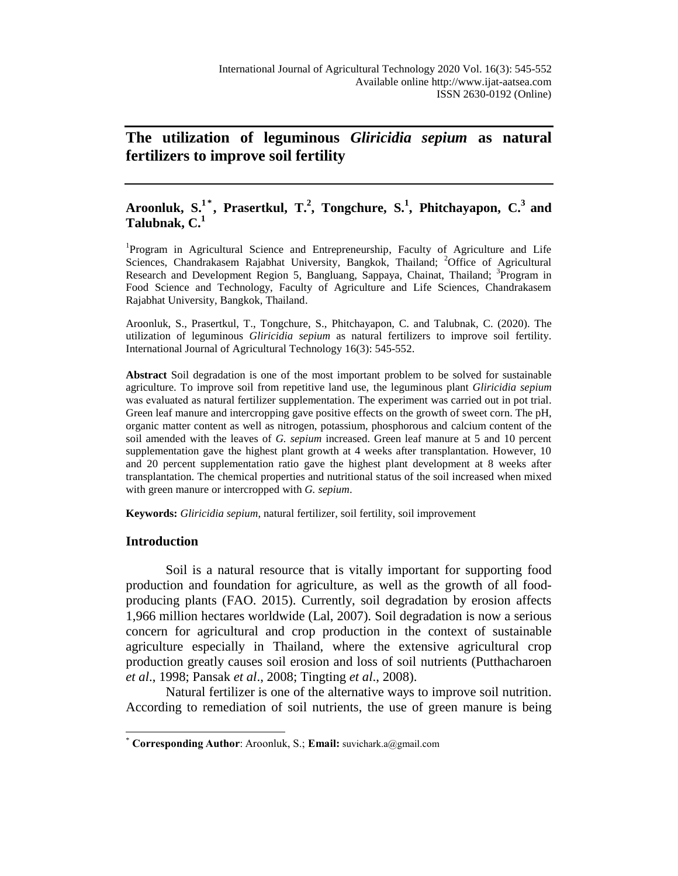# **The utilization of leguminous** *Gliricidia sepium* **as natural fertilizers to improve soil fertility**

# **Aroonluk, S.<sup>1</sup> \* , Prasertkul, T.<sup>2</sup> , Tongchure, S.<sup>1</sup> , Phitchayapon, C.<sup>3</sup>and Talubnak, C.<sup>1</sup>**

<sup>1</sup>Program in Agricultural Science and Entrepreneurship, Faculty of Agriculture and Life Sciences, Chandrakasem Rajabhat University, Bangkok, Thailand; <sup>2</sup>Office of Agricultural Research and Development Region 5, Bangluang, Sappaya, Chainat, Thailand; <sup>3</sup>Program in Food Science and Technology, Faculty of Agriculture and Life Sciences, Chandrakasem Rajabhat University, Bangkok, Thailand.

Aroonluk, S., Prasertkul, T., Tongchure, S., Phitchayapon, C. and Talubnak, C. (2020). The utilization of leguminous *Gliricidia sepium* as natural fertilizers to improve soil fertility. International Journal of Agricultural Technology 16(3): 545-552.

**Abstract** Soil degradation is one of the most important problem to be solved for sustainable agriculture. To improve soil from repetitive land use, the leguminous plant *Gliricidia sepium* was evaluated as natural fertilizer supplementation. The experiment was carried out in pot trial. Green leaf manure and intercropping gave positive effects on the growth of sweet corn. The pH, organic matter content as well as nitrogen, potassium, phosphorous and calcium content of the soil amended with the leaves of *G. sepium* increased. Green leaf manure at 5 and 10 percent supplementation gave the highest plant growth at 4 weeks after transplantation. However, 10 and 20 percent supplementation ratio gave the highest plant development at 8 weeks after transplantation. The chemical properties and nutritional status of the soil increased when mixed with green manure or intercropped with *G. sepium*.

**Keywords:** *Gliricidia sepium*, natural fertilizer, soil fertility, soil improvement

# **Introduction**

 $\overline{a}$ 

Soil is a natural resource that is vitally important for supporting food production and foundation for agriculture, as well as the growth of all foodproducing plants (FAO. 2015). Currently, soil degradation by erosion affects 1,966 million hectares worldwide (Lal, 2007). Soil degradation is now a serious concern for agricultural and crop production in the context of sustainable agriculture especially in Thailand, where the extensive agricultural crop production greatly causes soil erosion and loss of soil nutrients (Putthacharoen *et al*., 1998; Pansak *et al*., 2008; Tingting *et al*., 2008).

Natural fertilizer is one of the alternative ways to improve soil nutrition. According to remediation of soil nutrients, the use of green manure is being

<sup>\*</sup> **Corresponding Author**: Aroonluk, S.; **Email:** [suvichark.a@gmail.com](mailto:suvichark.a@gmail.com#inbox/_blank)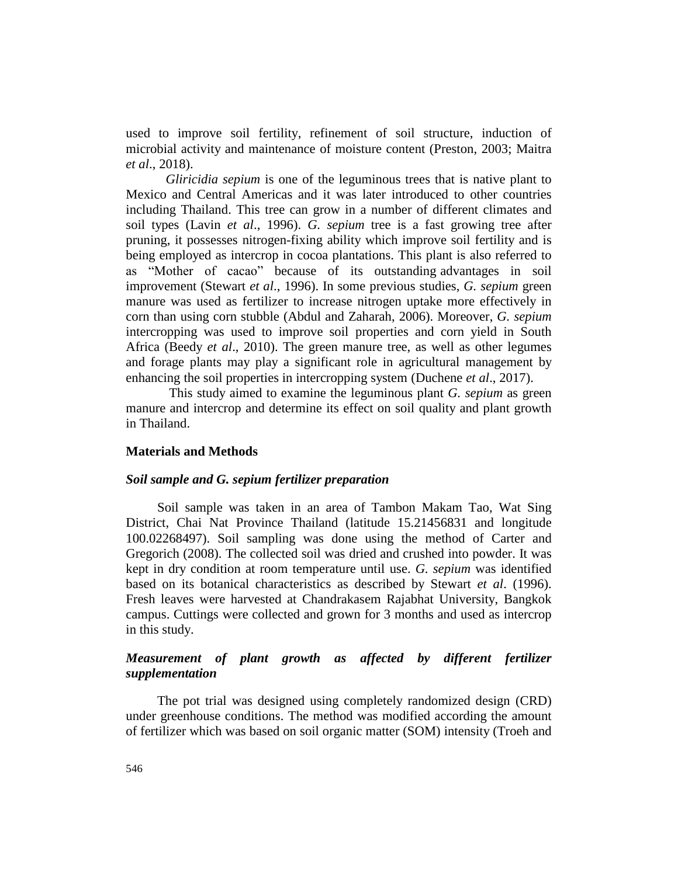used to improve soil fertility, refinement of soil structure, induction of microbial activity and maintenance of moisture content (Preston, 2003; Maitra *et al*., 2018).

*Gliricidia sepium* is one of the leguminous trees that is native plant to Mexico and Central Americas and it was later introduced to other countries including Thailand. This tree can grow in a number of different climates and soil types (Lavin *et al*., 1996). *G. sepium* tree is a fast growing tree after pruning, it possesses nitrogen-fixing ability which improve soil fertility and is being employed as intercrop in cocoa plantations. This plant is also referred to as "Mother of cacao" because of its outstanding advantages in soil improvement (Stewart *et al*., 1996). In some previous studies, *G. sepium* green manure was used as fertilizer to increase nitrogen uptake more effectively in corn than using corn stubble (Abdul and Zaharah, 2006). Moreover, *G. sepium* intercropping was used to improve soil properties and corn yield in South Africa (Beedy *et al*., 2010). The green manure tree, as well as other legumes and forage plants may play a significant role in agricultural management by enhancing the soil properties in intercropping system (Duchene *et al*., 2017).

This study aimed to examine the leguminous plant *G. sepium* as green manure and intercrop and determine its effect on soil quality and plant growth in Thailand.

# **Materials and Methods**

### *Soil sample and G. sepium fertilizer preparation*

Soil sample was taken in an area of Tambon Makam Tao, Wat Sing District, Chai Nat Province Thailand (latitude 15.21456831 and longitude 100.02268497). Soil sampling was done using the method of Carter and Gregorich (2008). The collected soil was dried and crushed into powder. It was kept in dry condition at room temperature until use. *G. sepium* was identified based on its botanical characteristics as described by Stewart *et al*. (1996). Fresh leaves were harvested at Chandrakasem Rajabhat University, Bangkok campus. Cuttings were collected and grown for 3 months and used as intercrop in this study.

# *Measurement of plant growth as affected by different fertilizer supplementation*

The pot trial was designed using completely randomized design (CRD) under greenhouse conditions. The method was modified according the amount of fertilizer which was based on soil organic matter (SOM) intensity (Troeh and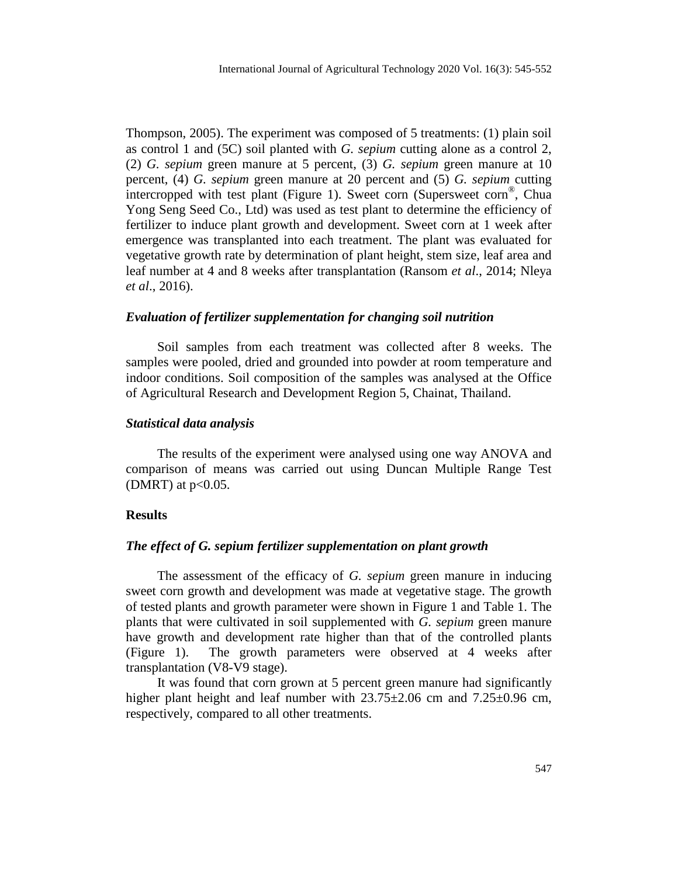Thompson, 2005). The experiment was composed of 5 treatments: (1) plain soil as control 1 and (5C) soil planted with *G. sepium* cutting alone as a control 2, (2) *G. sepium* green manure at 5 percent, (3) *G. sepium* green manure at 10 percent, (4) *G. sepium* green manure at 20 percent and (5) *G. sepium* cutting intercropped with test plant (Figure 1). Sweet corn (Supersweet corn ® , Chua Yong Seng Seed Co., Ltd) was used as test plant to determine the efficiency of fertilizer to induce plant growth and development. Sweet corn at 1 week after emergence was transplanted into each treatment. The plant was evaluated for vegetative growth rate by determination of plant height, stem size, leaf area and leaf number at 4 and 8 weeks after transplantation (Ransom *et al*., 2014; Nleya *et al*., 2016).

# *Evaluation of fertilizer supplementation for changing soil nutrition*

Soil samples from each treatment was collected after 8 weeks. The samples were pooled, dried and grounded into powder at room temperature and indoor conditions. Soil composition of the samples was analysed at the Office of Agricultural Research and Development Region 5, Chainat, Thailand.

#### *Statistical data analysis*

The results of the experiment were analysed using one way ANOVA and comparison of means was carried out using Duncan Multiple Range Test (DMRT) at  $p<0.05$ .

# **Results**

#### *The effect of G. sepium fertilizer supplementation on plant growth*

The assessment of the efficacy of *G. sepium* green manure in inducing sweet corn growth and development was made at vegetative stage. The growth of tested plants and growth parameter were shown in Figure 1 and Table 1. The plants that were cultivated in soil supplemented with *G. sepium* green manure have growth and development rate higher than that of the controlled plants (Figure 1). The growth parameters were observed at 4 weeks after transplantation (V8-V9 stage).

It was found that corn grown at 5 percent green manure had significantly higher plant height and leaf number with  $23.75 \pm 2.06$  cm and  $7.25 \pm 0.96$  cm, respectively, compared to all other treatments.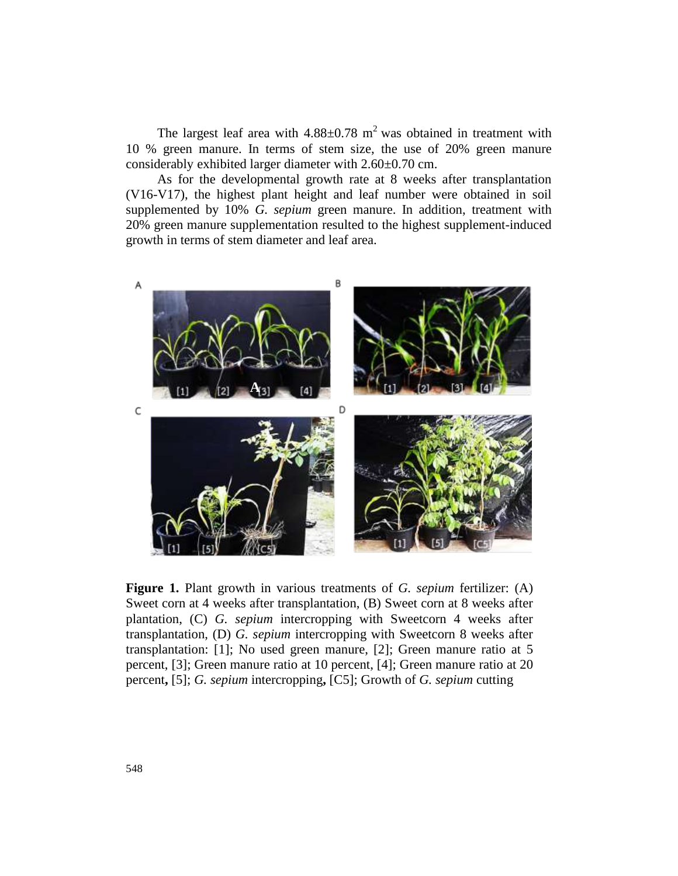The largest leaf area with  $4.88 \pm 0.78$  m<sup>2</sup> was obtained in treatment with 10 % green manure. In terms of stem size, the use of 20% green manure considerably exhibited larger diameter with 2.60±0.70 cm.

As for the developmental growth rate at 8 weeks after transplantation (V16-V17), the highest plant height and leaf number were obtained in soil supplemented by 10% *G. sepium* green manure. In addition, treatment with 20% green manure supplementation resulted to the highest supplement-induced growth in terms of stem diameter and leaf area.



**Figure 1.** Plant growth in various treatments of *G. sepium* fertilizer: (A) Sweet corn at 4 weeks after transplantation, (B) Sweet corn at 8 weeks after plantation, (C) *G. sepium* intercropping with Sweetcorn 4 weeks after transplantation, (D) *G. sepium* intercropping with Sweetcorn 8 weeks after transplantation: [1]; No used green manure, [2]; Green manure ratio at 5 percent, [3]; Green manure ratio at 10 percent, [4]; Green manure ratio at 20 percent**,** [5]; *G. sepium* intercropping**,** [C5]; Growth of *G. sepium* cutting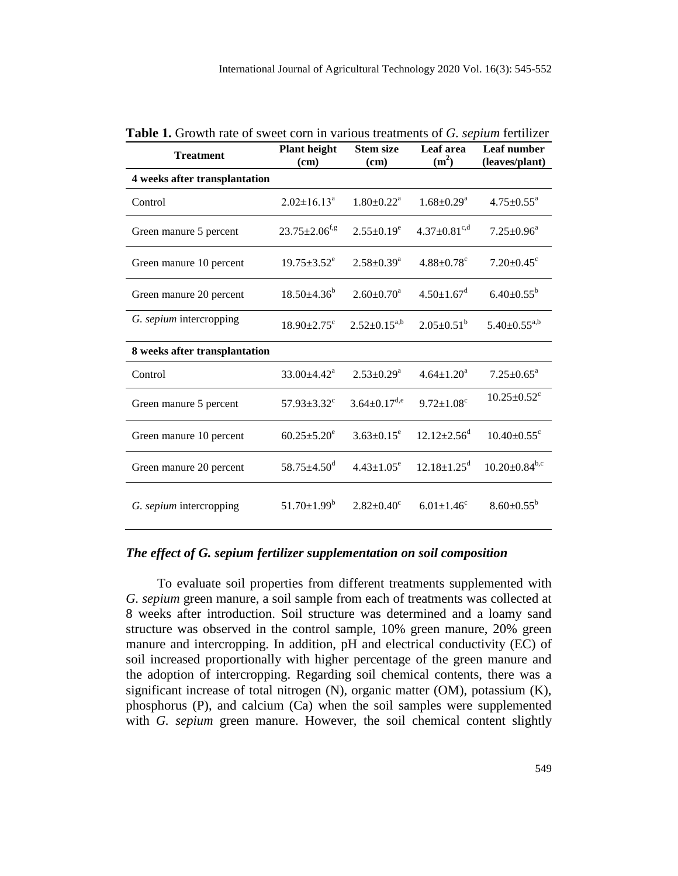| <b>Treatment</b>              | <b>Plant height</b><br><b>Stem size</b><br>(cm)<br>(cm) |                              | Leaf area<br>$(m^2)$          | Leaf number<br>(leaves/plant) |  |
|-------------------------------|---------------------------------------------------------|------------------------------|-------------------------------|-------------------------------|--|
| 4 weeks after transplantation |                                                         |                              |                               |                               |  |
| Control                       | $2.02 \pm 16.13^a$                                      | $1.80 \pm 0.22$ <sup>a</sup> | $1.68 \pm 0.29^a$             | $4.75 \pm 0.55^{\circ}$       |  |
| Green manure 5 percent        | $23.75 \pm 2.06$ <sup>f,g</sup>                         | $2.55 \pm 0.19^e$            | $4.37 \pm 0.81^{\text{c,d}}$  | $7.25 \pm 0.96^a$             |  |
| Green manure 10 percent       | $19.75 \pm 3.52^e$                                      | $2.58 \pm 0.39^a$            | $4.88 \pm 0.78$ <sup>c</sup>  | $7.20 \pm 0.45$ <sup>c</sup>  |  |
| Green manure 20 percent       | $18.50 + 4.36^b$                                        | $2.60 \pm 0.70^a$            | $4.50 \pm 1.67$ <sup>d</sup>  | $6.40 \pm 0.55^b$             |  |
| G. sepium intercropping       | $18.90 \pm 2.75$ <sup>c</sup>                           | $2.52 \pm 0.15^{a,b}$        | $2.05 \pm 0.51^b$             | $5.40 \pm 0.55^{a,b}$         |  |
| 8 weeks after transplantation |                                                         |                              |                               |                               |  |
| Control                       | $33.00 \pm 4.42^{\text{a}}$                             | $2.53 \pm 0.29^a$            | $4.64 \pm 1.20^a$             | $7.25 \pm 0.65^{\text{a}}$    |  |
| Green manure 5 percent        | 57.93 $\pm$ 3.32 $^{\circ}$                             | $3.64 \pm 0.17^{d,e}$        | $9.72 \pm 1.08$ <sup>c</sup>  | $10.25 \pm 0.52$ <sup>c</sup> |  |
| Green manure 10 percent       | $60.25 \pm 5.20^e$                                      | $3.63 \pm 0.15^e$            | $12.12 \pm 2.56^{\mathrm{d}}$ | $10.40 \pm 0.55$ <sup>c</sup> |  |
| Green manure 20 percent       | $58.75 \pm 4.50$ <sup>d</sup>                           | $4.43 \pm 1.05^e$            | $12.18 \pm 1.25$ <sup>d</sup> | $10.20 \pm 0.84^{\rm b,c}$    |  |
| G. sepium intercropping       | $51.70 \pm 1.99^b$                                      | $2.82 \pm 0.40^{\circ}$      | $6.01 \pm 1.46$ <sup>c</sup>  | $8.60 \pm 0.55^{\rm b}$       |  |

**Table 1.** Growth rate of sweet corn in various treatments of *G. sepium* fertilizer

# *The effect of G. sepium fertilizer supplementation on soil composition*

To evaluate soil properties from different treatments supplemented with *G. sepium* green manure, a soil sample from each of treatments was collected at 8 weeks after introduction. Soil structure was determined and a loamy sand structure was observed in the control sample, 10% green manure, 20% green manure and intercropping. In addition, pH and electrical conductivity (EC) of soil increased proportionally with higher percentage of the green manure and the adoption of intercropping. Regarding soil chemical contents, there was a significant increase of total nitrogen (N), organic matter (OM), potassium (K), phosphorus (P), and calcium (Ca) when the soil samples were supplemented with *G. sepium* green manure. However, the soil chemical content slightly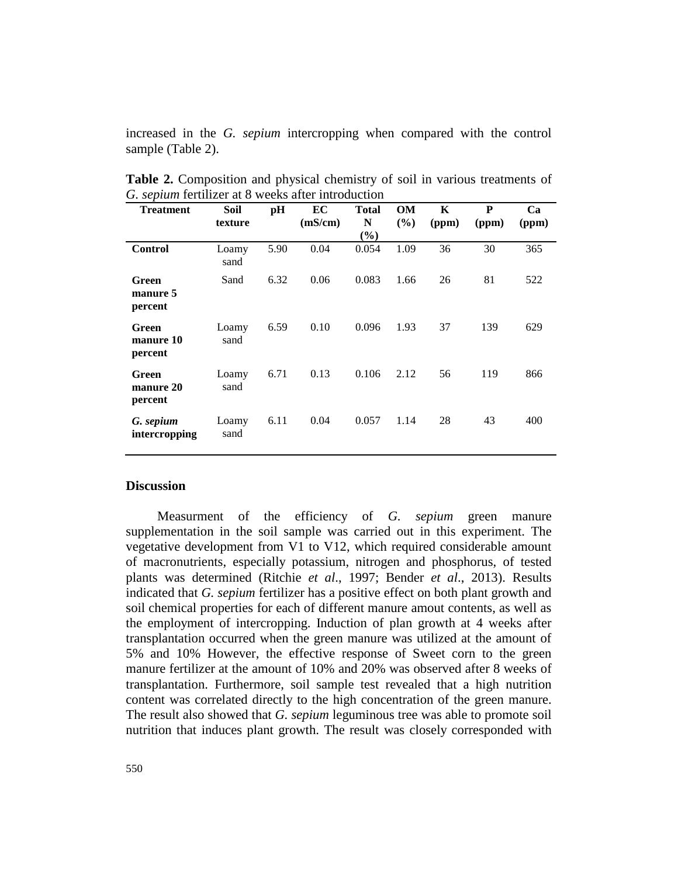increased in the *G. sepium* intercropping when compared with the control sample (Table 2).

| <b>Treatment</b>              | Soil<br>texture | pH   | EC<br>(mS/cm) | <b>Total</b><br>N<br>$\left(\frac{6}{2}\right)$ | <b>OM</b><br>(%) | K<br>(ppm) | P<br>(ppm) | Ca<br>(ppm) |
|-------------------------------|-----------------|------|---------------|-------------------------------------------------|------------------|------------|------------|-------------|
| <b>Control</b>                | Loamy<br>sand   | 5.90 | 0.04          | 0.054                                           | 1.09             | 36         | 30         | 365         |
| Green<br>manure 5<br>percent  | Sand            | 6.32 | 0.06          | 0.083                                           | 1.66             | 26         | 81         | 522         |
| Green<br>manure 10<br>percent | Loamy<br>sand   | 6.59 | 0.10          | 0.096                                           | 1.93             | 37         | 139        | 629         |
| Green<br>manure 20<br>percent | Loamy<br>sand   | 6.71 | 0.13          | 0.106                                           | 2.12             | 56         | 119        | 866         |
| G. sepium<br>intercropping    | Loamy<br>sand   | 6.11 | 0.04          | 0.057                                           | 1.14             | 28         | 43         | 400         |

**Table 2.** Composition and physical chemistry of soil in various treatments of *G. sepium* fertilizer at 8 weeks after introduction

## **Discussion**

Measurment of the efficiency of *G. sepium* green manure supplementation in the soil sample was carried out in this experiment. The vegetative development from V1 to V12, which required considerable amount of macronutrients, especially potassium, nitrogen and phosphorus, of tested plants was determined (Ritchie *et al*., 1997; Bender *et al*., 2013). Results indicated that *G. sepium* fertilizer has a positive effect on both plant growth and soil chemical properties for each of different manure amout contents, as well as the employment of intercropping. Induction of plan growth at 4 weeks after transplantation occurred when the green manure was utilized at the amount of 5% and 10% However, the effective response of Sweet corn to the green manure fertilizer at the amount of 10% and 20% was observed after 8 weeks of transplantation. Furthermore, soil sample test revealed that a high nutrition content was correlated directly to the high concentration of the green manure. The result also showed that *G. sepium* leguminous tree was able to promote soil nutrition that induces plant growth. The result was closely corresponded with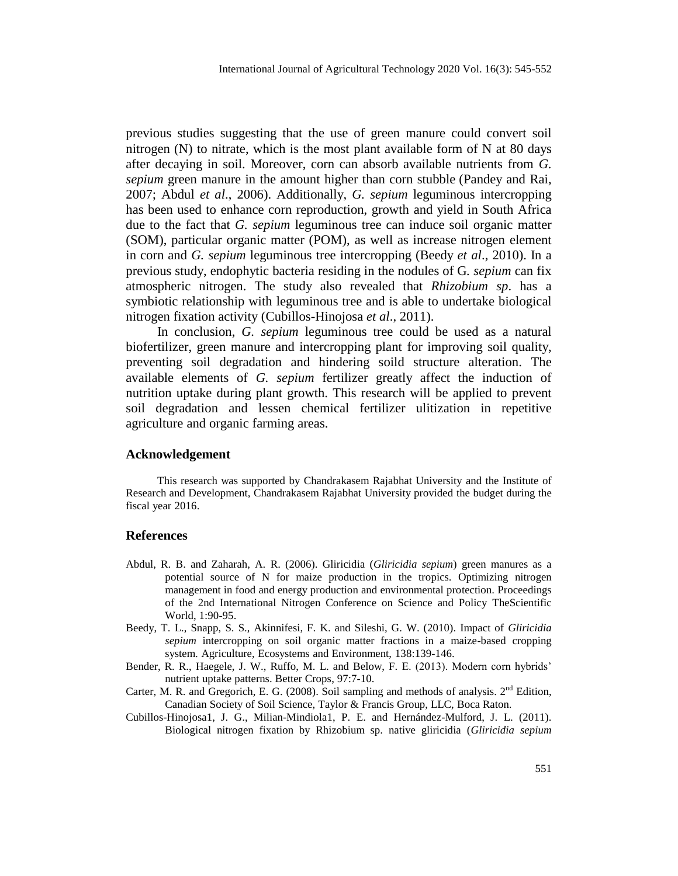previous studies suggesting that the use of green manure could convert soil nitrogen  $(N)$  to nitrate, which is the most plant available form of N at 80 days after decaying in soil. Moreover, corn can absorb available nutrients from *G. sepium* green manure in the amount higher than corn stubble (Pandey and Rai, 2007; Abdul *et al*., 2006). Additionally, *G. sepium* leguminous intercropping has been used to enhance corn reproduction, growth and yield in South Africa due to the fact that *G. sepium* leguminous tree can induce soil organic matter (SOM), particular organic matter (POM), as well as increase nitrogen element in corn and *G. sepium* leguminous tree intercropping (Beedy *et al*., 2010). In a previous study, endophytic bacteria residing in the nodules of G*. sepium* can fix atmospheric nitrogen. The study also revealed that *Rhizobium sp*. has a symbiotic relationship with leguminous tree and is able to undertake biological nitrogen fixation activity (Cubillos-Hinojosa *et al*., 2011).

In conclusion, *G. sepium* leguminous tree could be used as a natural biofertilizer, green manure and intercropping plant for improving soil quality, preventing soil degradation and hindering soild structure alteration. The available elements of *G. sepium* fertilizer greatly affect the induction of nutrition uptake during plant growth. This research will be applied to prevent soil degradation and lessen chemical fertilizer ulitization in repetitive agriculture and organic farming areas.

### **Acknowledgement**

This research was supported by Chandrakasem Rajabhat University and the Institute of Research and Development, Chandrakasem Rajabhat University provided the budget during the fiscal year 2016.

#### **References**

- Abdul, R. B. and Zaharah, A. R. (2006). Gliricidia (*Gliricidia sepium*) green manures as a potential source of N for maize production in the tropics. Optimizing nitrogen management in food and energy production and environmental protection. Proceedings of the 2nd International Nitrogen Conference on Science and Policy TheScientific World, 1:90-95.
- Beedy, T. L., Snapp, S. S., Akinnifesi, F. K. and Sileshi, G. W. (2010). Impact of *Gliricidia sepium* intercropping on soil organic matter fractions in a maize-based cropping system. Agriculture, Ecosystems and Environment, 138:139-146.
- Bender, R. R., Haegele, J. W., Ruffo, M. L. and Below, F. E. (2013). Modern corn hybrids' nutrient uptake patterns. Better Crops, 97:7-10.
- Carter, M. R. and Gregorich, E. G. (2008). Soil sampling and methods of analysis.  $2<sup>nd</sup>$  Edition, Canadian Society of Soil Science, Taylor & Francis Group, LLC, Boca Raton.
- Cubillos-Hinojosa1, J. G., Milian-Mindiola1, P. E. and Hernández-Mulford, J. L. (2011). Biological nitrogen fixation by Rhizobium sp. native gliricidia (*Gliricidia sepium*